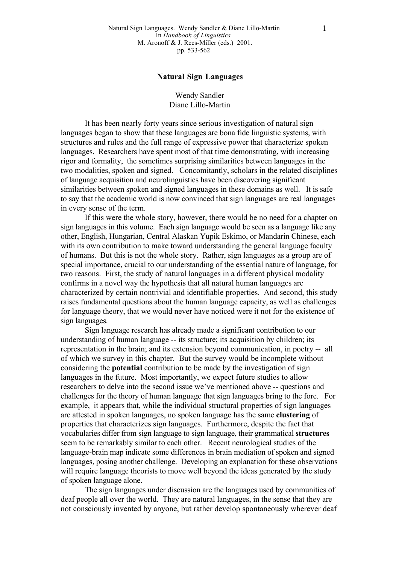#### **Natural Sign Languages**

## Wendy Sandler Diane Lillo-Martin

It has been nearly forty years since serious investigation of natural sign languages began to show that these languages are bona fide linguistic systems, with structures and rules and the full range of expressive power that characterize spoken languages. Researchers have spent most of that time demonstrating, with increasing rigor and formality, the sometimes surprising similarities between languages in the two modalities, spoken and signed. Concomitantly, scholars in the related disciplines of language acquisition and neurolinguistics have been discovering significant similarities between spoken and signed languages in these domains as well. It is safe to say that the academic world is now convinced that sign languages are real languages in every sense of the term.

If this were the whole story, however, there would be no need for a chapter on sign languages in this volume. Each sign language would be seen as a language like any other, English, Hungarian, Central Alaskan Yupik Eskimo, or Mandarin Chinese, each with its own contribution to make toward understanding the general language faculty of humans. But this is not the whole story. Rather, sign languages as a group are of special importance, crucial to our understanding of the essential nature of language, for two reasons. First, the study of natural languages in a different physical modality confirms in a novel way the hypothesis that all natural human languages are characterized by certain nontrivial and identifiable properties. And second, this study raises fundamental questions about the human language capacity, as well as challenges for language theory, that we would never have noticed were it not for the existence of sign languages.

Sign language research has already made a significant contribution to our understanding of human language -- its structure; its acquisition by children; its representation in the brain; and its extension beyond communication, in poetry -- all of which we survey in this chapter. But the survey would be incomplete without considering the **potential** contribution to be made by the investigation of sign languages in the future. Most importantly, we expect future studies to allow researchers to delve into the second issue we've mentioned above -- questions and challenges for the theory of human language that sign languages bring to the fore. For example, it appears that, while the individual structural properties of sign languages are attested in spoken languages, no spoken language has the same **clustering** of properties that characterizes sign languages. Furthermore, despite the fact that vocabularies differ from sign language to sign language, their grammatical **structures** seem to be remarkably similar to each other. Recent neurological studies of the language-brain map indicate some differences in brain mediation of spoken and signed languages, posing another challenge. Developing an explanation for these observations will require language theorists to move well beyond the ideas generated by the study of spoken language alone.

The sign languages under discussion are the languages used by communities of deaf people all over the world. They are natural languages, in the sense that they are not consciously invented by anyone, but rather develop spontaneously wherever deaf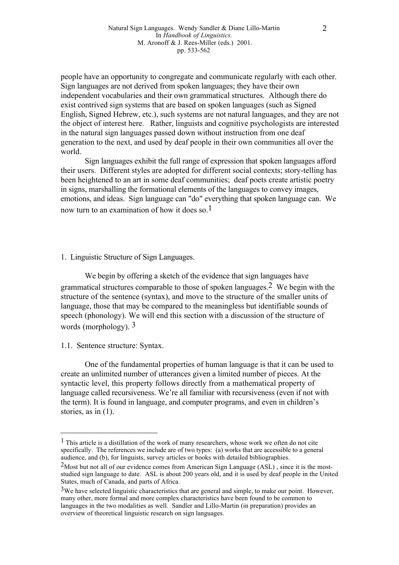people have an opportunity to congregate and communicate regularly with each other. Sign languages are not derived from spoken languages; they have their own independent vocabularies and their own grammatical structures. Although there do exist contrived sign systems that are based on spoken languages (such as Signed English, Signed Hebrew, etc.), such systems are not natural languages, and they are not the object of interest here. Rather, linguists and cognitive psychologists are interested in the natural sign languages passed down without instruction from one deaf generation to the next, and used by deaf people in their own communities all over the world.

Sign languages exhibit the full range of expression that spoken languages afford their users. Different styles are adopted for different social contexts; story-telling has been heightened to an art in some deaf communities; deaf poets create artistic poetry in signs, marshalling the formational elements of the languages to convey images, emotions, and ideas. Sign language can "do" everything that spoken language can. We now turn to an examination of how it does so.<sup>1</sup>

1. Linguistic Structure of Sign Languages.

We begin by offering a sketch of the evidence that sign languages have grammatical structures comparable to those of spoken languages.2 We begin with the structure of the sentence (syntax), and move to the structure of the smaller units of language, those that may be compared to the meaningless but identifiable sounds of speech (phonology). We will end this section with a discussion of the structure of words (morphology). 3

1.1. Sentence structure: Syntax.

 $\overline{a}$ 

One of the fundamental properties of human language is that it can be used to create an unlimited number of utterances given a limited number of pieces. At the syntactic level, this property follows directly from a mathematical property of language called recursiveness. We're all familiar with recursiveness (even if not with the term). It is found in language, and computer programs, and even in children's stories, as in (1).

 $<sup>1</sup>$  This article is a distillation of the work of many researchers, whose work we often do not cite</sup> specifically. The references we include are of two types: (a) works that are accessible to a general audience, and (b), for linguists, survey articles or books with detailed bibliographies.

<sup>2</sup>Most but not all of our evidence comes from American Sign Language (ASL) , since it is the moststudied sign language to date. ASL is about 200 years old, and it is used by deaf people in the United States, much of Canada, and parts of Africa.

<sup>&</sup>lt;sup>3</sup>We have selected linguistic characteristics that are general and simple, to make our point. However, many other, more formal and more complex characteristics have been found to be common to languages in the two modalities as well. Sandler and Lillo-Martin (in preparation) provides an overview of theoretical linguistic research on sign languages.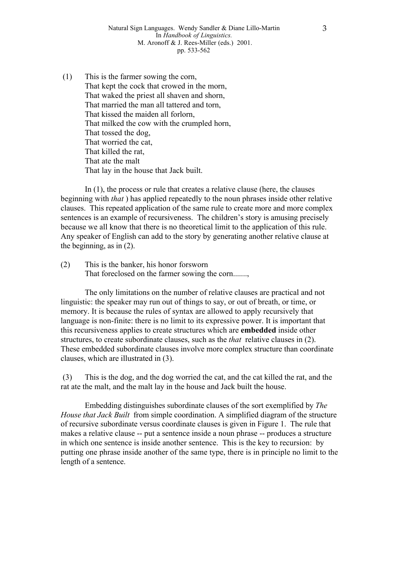(1) This is the farmer sowing the corn, That kept the cock that crowed in the morn, That waked the priest all shaven and shorn, That married the man all tattered and torn, That kissed the maiden all forlorn, That milked the cow with the crumpled horn, That tossed the dog, That worried the cat, That killed the rat, That ate the malt That lay in the house that Jack built.

In (1), the process or rule that creates a relative clause (here, the clauses beginning with *that* ) has applied repeatedly to the noun phrases inside other relative clauses. This repeated application of the same rule to create more and more complex sentences is an example of recursiveness. The children's story is amusing precisely because we all know that there is no theoretical limit to the application of this rule. Any speaker of English can add to the story by generating another relative clause at the beginning, as in (2).

(2) This is the banker, his honor forsworn That foreclosed on the farmer sowing the corn.......,

The only limitations on the number of relative clauses are practical and not linguistic: the speaker may run out of things to say, or out of breath, or time, or memory. It is because the rules of syntax are allowed to apply recursively that language is non-finite: there is no limit to its expressive power. It is important that this recursiveness applies to create structures which are **embedded** inside other structures, to create subordinate clauses, such as the *that* relative clauses in (2). These embedded subordinate clauses involve more complex structure than coordinate clauses, which are illustrated in (3).

 (3) This is the dog, and the dog worried the cat, and the cat killed the rat, and the rat ate the malt, and the malt lay in the house and Jack built the house.

Embedding distinguishes subordinate clauses of the sort exemplified by *The House that Jack Built* from simple coordination. A simplified diagram of the structure of recursive subordinate versus coordinate clauses is given in Figure 1. The rule that makes a relative clause -- put a sentence inside a noun phrase -- produces a structure in which one sentence is inside another sentence. This is the key to recursion: by putting one phrase inside another of the same type, there is in principle no limit to the length of a sentence.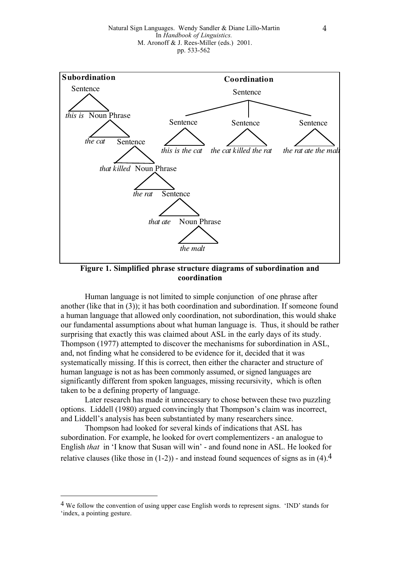

**Figure 1. Simplified phrase structure diagrams of subordination and coordination**

Human language is not limited to simple conjunction of one phrase after another (like that in (3)); it has both coordination and subordination. If someone found a human language that allowed only coordination, not subordination, this would shake our fundamental assumptions about what human language is. Thus, it should be rather surprising that exactly this was claimed about ASL in the early days of its study. Thompson (1977) attempted to discover the mechanisms for subordination in ASL, and, not finding what he considered to be evidence for it, decided that it was systematically missing. If this is correct, then either the character and structure of human language is not as has been commonly assumed, or signed languages are significantly different from spoken languages, missing recursivity, which is often taken to be a defining property of language.

Later research has made it unnecessary to chose between these two puzzling options. Liddell (1980) argued convincingly that Thompson's claim was incorrect, and Liddell's analysis has been substantiated by many researchers since.

Thompson had looked for several kinds of indications that ASL has subordination. For example, he looked for overt complementizers - an analogue to English *that* in 'I know that Susan will win' - and found none in ASL. He looked for relative clauses (like those in  $(1-2)$ ) - and instead found sequences of signs as in  $(4)$ .<sup>4</sup>

<sup>4</sup> We follow the convention of using upper case English words to represent signs. 'IND' stands for 'index, a pointing gesture.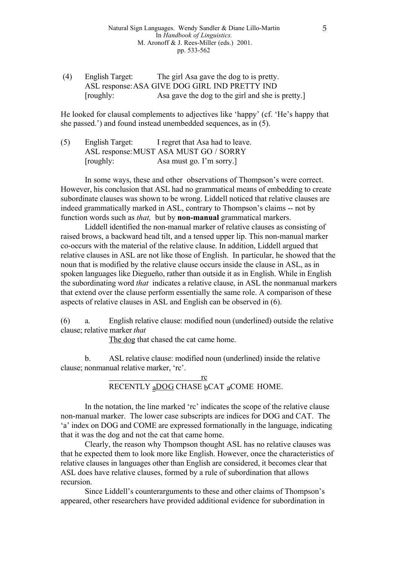(4) English Target: The girl Asa gave the dog to is pretty. ASL response:ASA GIVE DOG GIRL IND PRETTY IND [roughly: Asa gave the dog to the girl and she is pretty.]

He looked for clausal complements to adjectives like 'happy' (cf. 'He's happy that she passed.') and found instead unembedded sequences, as in (5).

(5) English Target: I regret that Asa had to leave. ASL response:MUST ASA MUST GO / SORRY [roughly: Asa must go. I'm sorry.]

In some ways, these and other observations of Thompson's were correct. However, his conclusion that ASL had no grammatical means of embedding to create subordinate clauses was shown to be wrong. Liddell noticed that relative clauses are indeed grammatically marked in ASL, contrary to Thompson's claims -- not by function words such as *that,* but by **non-manual** grammatical markers.

Liddell identified the non-manual marker of relative clauses as consisting of raised brows, a backward head tilt, and a tensed upper lip. This non-manual marker co-occurs with the material of the relative clause. In addition, Liddell argued that relative clauses in ASL are not like those of English. In particular, he showed that the noun that is modified by the relative clause occurs inside the clause in ASL, as in spoken languages like Diegueño, rather than outside it as in English. While in English the subordinating word *that* indicates a relative clause, in ASL the nonmanual markers that extend over the clause perform essentially the same role. A comparison of these aspects of relative clauses in ASL and English can be observed in (6).

(6) a. English relative clause: modified noun (underlined) outside the relative clause; relative marker *that*

The dog that chased the cat came home.

b. ASL relative clause: modified noun (underlined) inside the relative clause; nonmanual relative marker, 'rc'.

$$
\frac{rc}{RECENTLY \underline{a} DOG \text{ CHASE } b\text{CAT } a\text{COME HOME.}}
$$

In the notation, the line marked 'rc' indicates the scope of the relative clause non-manual marker. The lower case subscripts are indices for DOG and CAT. The 'a' index on DOG and COME are expressed formationally in the language, indicating that it was the dog and not the cat that came home.

Clearly, the reason why Thompson thought ASL has no relative clauses was that he expected them to look more like English. However, once the characteristics of relative clauses in languages other than English are considered, it becomes clear that ASL does have relative clauses, formed by a rule of subordination that allows recursion.

Since Liddell's counterarguments to these and other claims of Thompson's appeared, other researchers have provided additional evidence for subordination in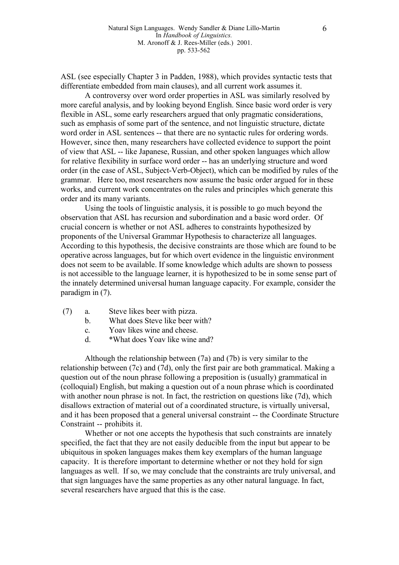ASL (see especially Chapter 3 in Padden, 1988), which provides syntactic tests that differentiate embedded from main clauses), and all current work assumes it.

A controversy over word order properties in ASL was similarly resolved by more careful analysis, and by looking beyond English. Since basic word order is very flexible in ASL, some early researchers argued that only pragmatic considerations, such as emphasis of some part of the sentence, and not linguistic structure, dictate word order in ASL sentences -- that there are no syntactic rules for ordering words. However, since then, many researchers have collected evidence to support the point of view that ASL -- like Japanese, Russian, and other spoken languages which allow for relative flexibility in surface word order -- has an underlying structure and word order (in the case of ASL, Subject-Verb-Object), which can be modified by rules of the grammar. Here too, most researchers now assume the basic order argued for in these works, and current work concentrates on the rules and principles which generate this order and its many variants.

Using the tools of linguistic analysis, it is possible to go much beyond the observation that ASL has recursion and subordination and a basic word order. Of crucial concern is whether or not ASL adheres to constraints hypothesized by proponents of the Universal Grammar Hypothesis to characterize all languages. According to this hypothesis, the decisive constraints are those which are found to be operative across languages, but for which overt evidence in the linguistic environment does not seem to be available. If some knowledge which adults are shown to possess is not accessible to the language learner, it is hypothesized to be in some sense part of the innately determined universal human language capacity. For example, consider the paradigm in (7).

- (7) a. Steve likes beer with pizza.
	- b. What does Steve like beer with?
	- c. Yoav likes wine and cheese.
	- d. \*What does Yoav like wine and?

Although the relationship between (7a) and (7b) is very similar to the relationship between (7c) and (7d), only the first pair are both grammatical. Making a question out of the noun phrase following a preposition is (usually) grammatical in (colloquial) English, but making a question out of a noun phrase which is coordinated with another noun phrase is not. In fact, the restriction on questions like (7d), which disallows extraction of material out of a coordinated structure, is virtually universal, and it has been proposed that a general universal constraint -- the Coordinate Structure Constraint -- prohibits it.

Whether or not one accepts the hypothesis that such constraints are innately specified, the fact that they are not easily deducible from the input but appear to be ubiquitous in spoken languages makes them key exemplars of the human language capacity. It is therefore important to determine whether or not they hold for sign languages as well. If so, we may conclude that the constraints are truly universal, and that sign languages have the same properties as any other natural language. In fact, several researchers have argued that this is the case.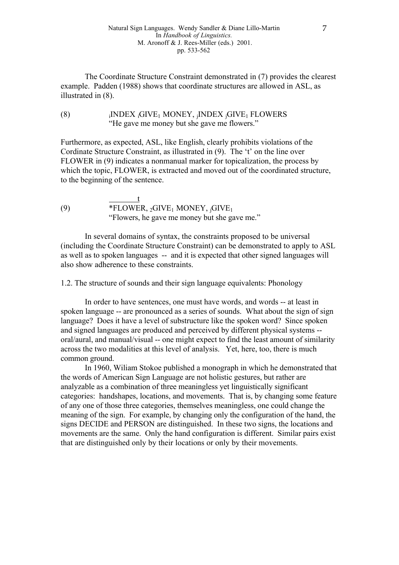The Coordinate Structure Constraint demonstrated in (7) provides the clearest example. Padden (1988) shows that coordinate structures are allowed in ASL, as illustrated in (8).

# (8) iINDEX  $_i$ GIVE<sub>1</sub> MONEY,  $_i$ INDEX  $_i$ GIVE<sub>1</sub> FLOWERS "He gave me money but she gave me flowers."

Furthermore, as expected, ASL, like English, clearly prohibits violations of the Cordinate Structure Constraint, as illustrated in (9). The 't' on the line over FLOWER in (9) indicates a nonmanual marker for topicalization, the process by which the topic, FLOWER, is extracted and moved out of the coordinated structure, to the beginning of the sentence.

(9) 
$$
\frac{t}{*FLOWER, {}_{2}GIVE_{1} MONEY, {}_{j}GIVE_{1}}
$$
  
"Flowers, he gave me money but she gave me."

In several domains of syntax, the constraints proposed to be universal (including the Coordinate Structure Constraint) can be demonstrated to apply to ASL as well as to spoken languages -- and it is expected that other signed languages will also show adherence to these constraints.

1.2. The structure of sounds and their sign language equivalents: Phonology

In order to have sentences, one must have words, and words -- at least in spoken language -- are pronounced as a series of sounds. What about the sign of sign language? Does it have a level of substructure like the spoken word? Since spoken and signed languages are produced and perceived by different physical systems - oral/aural, and manual/visual -- one might expect to find the least amount of similarity across the two modalities at this level of analysis. Yet, here, too, there is much common ground.

In 1960, Wiliam Stokoe published a monograph in which he demonstrated that the words of American Sign Language are not holistic gestures, but rather are analyzable as a combination of three meaningless yet linguistically significant categories: handshapes, locations, and movements. That is, by changing some feature of any one of those three categories, themselves meaningless, one could change the meaning of the sign. For example, by changing only the configuration of the hand, the signs DECIDE and PERSON are distinguished. In these two signs, the locations and movements are the same. Only the hand configuration is different. Similar pairs exist that are distinguished only by their locations or only by their movements.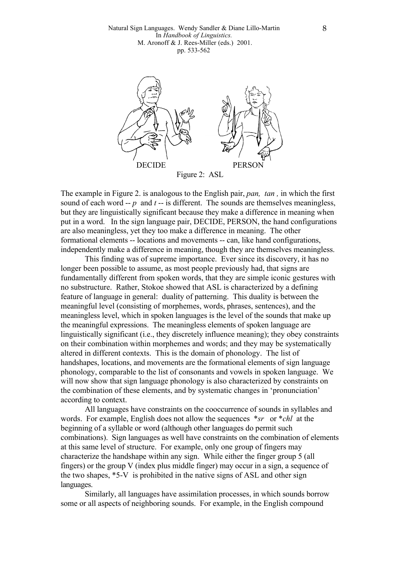Natural Sign Languages. Wendy Sandler & Diane Lillo-Martin In *Handbook of Linguistics.* M. Aronoff & J. Rees-Miller (eds.) 2001. pp. 533-562



The example in Figure 2. is analogous to the English pair, *pan, tan ,* in which the first sound of each word  $-p$  and  $t -$  is different. The sounds are themselves meaningless, but they are linguistically significant because they make a difference in meaning when put in a word. In the sign language pair, DECIDE, PERSON, the hand configurations are also meaningless, yet they too make a difference in meaning. The other formational elements -- locations and movements -- can, like hand configurations, independently make a difference in meaning, though they are themselves meaningless.

This finding was of supreme importance. Ever since its discovery, it has no longer been possible to assume, as most people previously had, that signs are fundamentally different from spoken words, that they are simple iconic gestures with no substructure. Rather, Stokoe showed that ASL is characterized by a defining feature of language in general: duality of patterning. This duality is between the meaningful level (consisting of morphemes, words, phrases, sentences), and the meaningless level, which in spoken languages is the level of the sounds that make up the meaningful expressions. The meaningless elements of spoken language are linguistically significant (i.e., they discretely influence meaning); they obey constraints on their combination within morphemes and words; and they may be systematically altered in different contexts. This is the domain of phonology. The list of handshapes, locations, and movements are the formational elements of sign language phonology, comparable to the list of consonants and vowels in spoken language. We will now show that sign language phonology is also characterized by constraints on the combination of these elements, and by systematic changes in 'pronunciation' according to context.

All languages have constraints on the cooccurrence of sounds in syllables and words. For example, English does not allow the sequences \**sr* or \**chl* at the beginning of a syllable or word (although other languages do permit such combinations). Sign languages as well have constraints on the combination of elements at this same level of structure. For example, only one group of fingers may characterize the handshape within any sign. While either the finger group 5 (all fingers) or the group V (index plus middle finger) may occur in a sign, a sequence of the two shapes, \*5-V is prohibited in the native signs of ASL and other sign languages.

Similarly, all languages have assimilation processes, in which sounds borrow some or all aspects of neighboring sounds. For example, in the English compound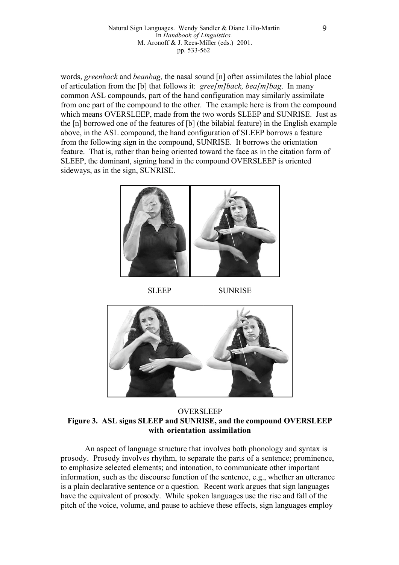#### Natural Sign Languages. Wendy Sandler & Diane Lillo-Martin In *Handbook of Linguistics.* M. Aronoff & J. Rees-Miller (eds.) 2001. pp. 533-562

words, *greenback* and *beanbag,* the nasal sound [n] often assimilates the labial place of articulation from the [b] that follows it: *gree[m]back, bea[m]bag*. In many common ASL compounds, part of the hand configuration may similarly assimilate from one part of the compound to the other. The example here is from the compound which means OVERSLEEP, made from the two words SLEEP and SUNRISE. Just as the [n] borrowed one of the features of [b] (the bilabial feature) in the English example above, in the ASL compound, the hand configuration of SLEEP borrows a feature from the following sign in the compound, SUNRISE. It borrows the orientation feature. That is, rather than being oriented toward the face as in the citation form of SLEEP, the dominant, signing hand in the compound OVERSLEEP is oriented sideways, as in the sign, SUNRISE.



SLEEP SUNRISE



**OVERSLEEP Figure 3. ASL signs SLEEP and SUNRISE, and the compound OVERSLEEP with orientation assimilation**

An aspect of language structure that involves both phonology and syntax is prosody. Prosody involves rhythm, to separate the parts of a sentence; prominence, to emphasize selected elements; and intonation, to communicate other important information, such as the discourse function of the sentence, e.g., whether an utterance is a plain declarative sentence or a question. Recent work argues that sign languages have the equivalent of prosody. While spoken languages use the rise and fall of the pitch of the voice, volume, and pause to achieve these effects, sign languages employ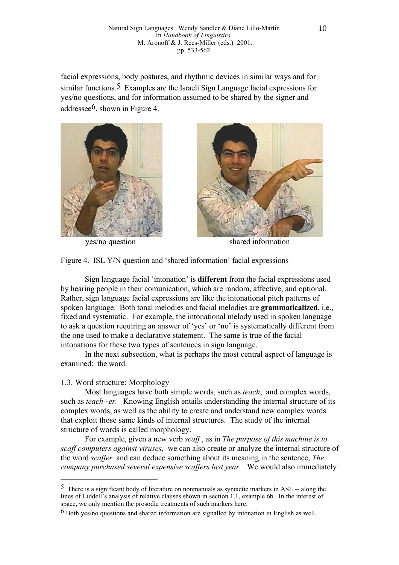facial expressions, body postures, and rhythmic devices in similar ways and for similar functions.<sup>5</sup> Examples are the Israeli Sign Language facial expressions for yes/no questions, and for information assumed to be shared by the signer and addressee6, shown in Figure 4.





yes/no question shared information

Figure 4. ISL Y/N question and 'shared information' facial expressions

Sign language facial 'intonation' is **different** from the facial expressions used by hearing people in their comunication, which are random, affective, and optional. Rather, sign language facial expressions are like the intonational pitch patterns of spoken language. Both tonal melodies and facial melodies are **grammaticalized**, i.e., fixed and systematic. For example, the intonational melody used in spoken language to ask a question requiring an answer of 'yes' or 'no' is systematically different from the one used to make a declarative statement. The same is true of the facial intonations for these two types of sentences in sign language.

In the next subsection, what is perhaps the most central aspect of language is examined: the word.

# 1.3. Word structure: Morphology

 $\overline{a}$ 

Most languages have both simple words, such as *teach*, and complex words, such as *teach+er.* Knowing English entails understanding the internal structure of its complex words, as well as the ability to create and understand new complex words that exploit those same kinds of internal structures. The study of the internal structure of words is called morphology.

For example, given a new verb *scaff* , as in *The purpose of this machine is to scaff computers against viruses,* we can also create or analyze the internal structure of the word *scaffer* and can deduce something about its meaning in the sentence, *The company purchased several expensive scaffers last year.* We would also immediately

<sup>5</sup> There is a significant body of literature on nonmanuals as syntactic markers in ASL -- along the lines of Liddell's analysis of relative clauses shown in section 1.1, example 6b. In the interest of space, we only mention the prosodic treatments of such markers here.

<sup>6</sup> Both yes/no questions and shared information are signalled by intonation in English as well.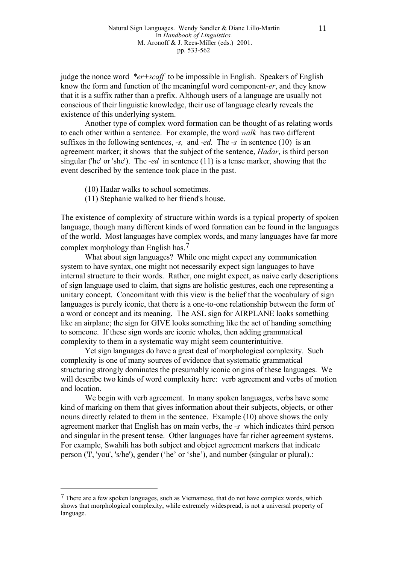judge the nonce word *\*er+scaff* to be impossible in English. Speakers of English know the form and function of the meaningful word component*-er*, and they know that it is a suffix rather than a prefix. Although users of a language are usually not conscious of their linguistic knowledge, their use of language clearly reveals the existence of this underlying system.

Another type of complex word formation can be thought of as relating words to each other within a sentence. For example, the word *walk* has two different suffixes in the following sentences, *-s,* and *-ed.* The *-s* in sentence (10) is an agreement marker; it shows that the subject of the sentence, *Hadar*, is third person singular ('he' or 'she'). The *-ed* in sentence (11) is a tense marker, showing that the event described by the sentence took place in the past.

- (10) Hadar walks to school sometimes.
- (11) Stephanie walked to her friend's house.

The existence of complexity of structure within words is a typical property of spoken language, though many different kinds of word formation can be found in the languages of the world. Most languages have complex words, and many languages have far more complex morphology than English has.7

What about sign languages? While one might expect any communication system to have syntax, one might not necessarily expect sign languages to have internal structure to their words. Rather, one might expect, as naive early descriptions of sign language used to claim, that signs are holistic gestures, each one representing a unitary concept. Concomitant with this view is the belief that the vocabulary of sign languages is purely iconic, that there is a one-to-one relationship between the form of a word or concept and its meaning. The ASL sign for AIRPLANE looks something like an airplane; the sign for GIVE looks something like the act of handing something to someone. If these sign words are iconic wholes, then adding grammatical complexity to them in a systematic way might seem counterintuitive.

Yet sign languages do have a great deal of morphological complexity. Such complexity is one of many sources of evidence that systematic grammatical structuring strongly dominates the presumably iconic origins of these languages. We will describe two kinds of word complexity here: verb agreement and verbs of motion and location.

We begin with verb agreement. In many spoken languages, verbs have some kind of marking on them that gives information about their subjects, objects, or other nouns directly related to them in the sentence. Example (10) above shows the only agreement marker that English has on main verbs, the *-s* which indicates third person and singular in the present tense. Other languages have far richer agreement systems. For example, Swahili has both subject and object agreement markers that indicate person ('I', 'you', 's/he'), gender ('he' or 'she'), and number (singular or plural).:

<sup>7</sup> There are a few spoken languages, such as Vietnamese, that do not have complex words, which shows that morphological complexity, while extremely widespread, is not a universal property of language.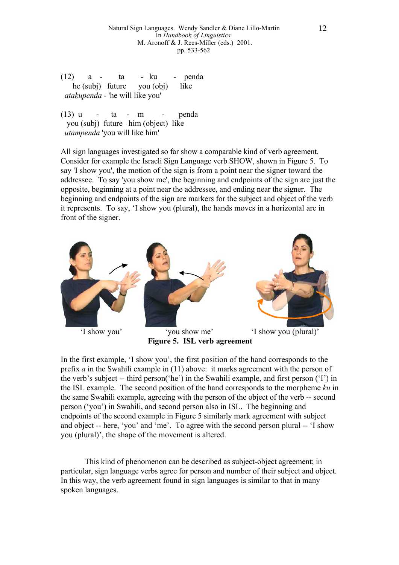(12) a - ta - ku - penda he (subj) future you (obj) like *atakupenda* - 'he will like you'

 $(13)$  u - ta - m - penda you (subj) future him (object) like *utampenda* 'you will like him'

All sign languages investigated so far show a comparable kind of verb agreement. Consider for example the Israeli Sign Language verb SHOW, shown in Figure 5. To say 'I show you', the motion of the sign is from a point near the signer toward the addressee. To say 'you show me', the beginning and endpoints of the sign are just the opposite, beginning at a point near the addressee, and ending near the signer. The beginning and endpoints of the sign are markers for the subject and object of the verb it represents. To say, 'I show you (plural), the hands moves in a horizontal arc in front of the signer.



**Figure 5. ISL verb agreement**

In the first example, 'I show you', the first position of the hand corresponds to the prefix *a* in the Swahili example in (11) above: it marks agreement with the person of the verb's subject -- third person('he') in the Swahili example, and first person ('I') in the ISL example. The second position of the hand corresponds to the morpheme *ku* in the same Swahili example, agreeing with the person of the object of the verb -- second person ('you') in Swahili, and second person also in ISL. The beginning and endpoints of the second example in Figure 5 similarly mark agreement with subject and object -- here, 'you' and 'me'. To agree with the second person plural -- 'I show you (plural)', the shape of the movement is altered.

This kind of phenomenon can be described as subject-object agreement; in particular, sign language verbs agree for person and number of their subject and object. In this way, the verb agreement found in sign languages is similar to that in many spoken languages.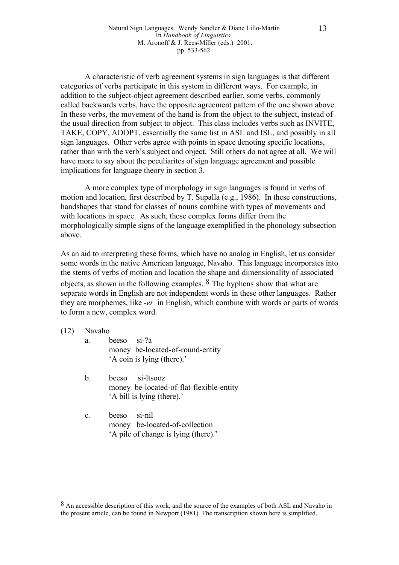A characteristic of verb agreement systems in sign languages is that different categories of verbs participate in this system in different ways. For example, in addition to the subject-object agreement described earlier, some verbs, commonly called backwards verbs, have the opposite agreement pattern of the one shown above. In these verbs, the movement of the hand is from the object to the subject, instead of the usual direction from subject to object. This class includes verbs such as INVITE, TAKE, COPY, ADOPT, essentially the same list in ASL and ISL, and possibly in all sign languages. Other verbs agree with points in space denoting specific locations, rather than with the verb's subject and object. Still others do not agree at all. We will have more to say about the peculiarites of sign language agreement and possible implications for language theory in section 3.

A more complex type of morphology in sign languages is found in verbs of motion and location, first described by T. Supalla (e.g., 1986).In these constructions, handshapes that stand for classes of nouns combine with types of movements and with locations in space. As such, these complex forms differ from the morphologically simple signs of the language exemplified in the phonology subsection above.

As an aid to interpreting these forms, which have no analog in English, let us consider some words in the native American language, Navaho. This language incorporates into the stems of verbs of motion and location the shape and dimensionality of associated objects, as shown in the following examples.  $8$  The hyphens show that what are separate words in English are not independent words in these other languages. Rather they are morphemes, like *-er* in English, which combine with words or parts of words to form a new, complex word.

## (12) Navaho

- a. beeso si-?a money be-located-of-round-entity 'A coin is lying (there).'
- b. beeso si-ltsooz money be-located-of-flat-flexible-entity 'A bill is lying (there).'
- c. beeso si-nil money be-located-of-collection 'A pile of change is lying (there).'

<sup>8</sup> An accessible description of this work, and the source of the examples of both ASL and Navaho in the present article, can be found in Newport (1981). The transcription shown here is simplified.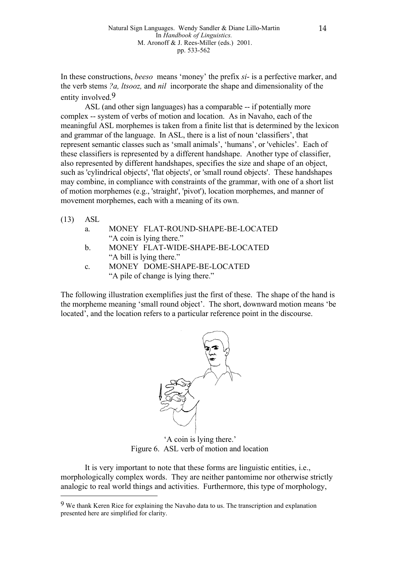In these constructions, *beeso* means 'money' the prefix *si*- is a perfective marker, and the verb stems *?a, ltsooz,* and *nil* incorporate the shape and dimensionality of the entity involved.<sup>9</sup>

ASL (and other sign languages) has a comparable -- if potentially more complex -- system of verbs of motion and location. As in Navaho, each of the meaningful ASL morphemes is taken from a finite list that is determined by the lexicon and grammar of the language. In ASL, there is a list of noun 'classifiers', that represent semantic classes such as 'small animals', 'humans', or 'vehicles'. Each of these classifiers is represented by a different handshape. Another type of classifier, also represented by different handshapes, specifies the size and shape of an object, such as 'cylindrical objects', 'flat objects', or 'small round objects'. These handshapes may combine, in compliance with constraints of the grammar, with one of a short list of motion morphemes (e.g., 'straight', 'pivot'), location morphemes, and manner of movement morphemes, each with a meaning of its own.

(13) ASL

 $\overline{a}$ 

- a. MONEY FLAT-ROUND-SHAPE-BE-LOCATED "A coin is lying there."
- b. MONEY FLAT-WIDE-SHAPE-BE-LOCATED "A bill is lying there."
- c. MONEY DOME-SHAPE-BE-LOCATED "A pile of change is lying there."

The following illustration exemplifies just the first of these. The shape of the hand is the morpheme meaning 'small round object'. The short, downward motion means 'be located', and the location refers to a particular reference point in the discourse.



'A coin is lying there.' Figure 6. ASL verb of motion and location

It is very important to note that these forms are linguistic entities, i.e., morphologically complex words. They are neither pantomime nor otherwise strictly analogic to real world things and activities. Furthermore, this type of morphology,

<sup>&</sup>lt;sup>9</sup> We thank Keren Rice for explaining the Navaho data to us. The transcription and explanation presented here are simplified for clarity.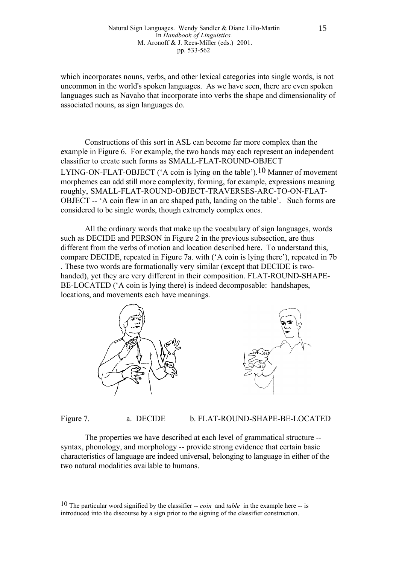which incorporates nouns, verbs, and other lexical categories into single words, is not uncommon in the world's spoken languages. As we have seen, there are even spoken languages such as Navaho that incorporate into verbs the shape and dimensionality of associated nouns, as sign languages do.

Constructions of this sort in ASL can become far more complex than the example in Figure 6. For example, the two hands may each represent an independent classifier to create such forms as SMALL-FLAT-ROUND-OBJECT LYING-ON-FLAT-OBJECT ( $A$  coin is lying on the table).<sup>10</sup> Manner of movement morphemes can add still more complexity, forming, for example, expressions meaning roughly, SMALL-FLAT-ROUND-OBJECT-TRAVERSES-ARC-TO-ON-FLAT-OBJECT -- 'A coin flew in an arc shaped path, landing on the table'. Such forms are considered to be single words, though extremely complex ones.

All the ordinary words that make up the vocabulary of sign languages, words such as DECIDE and PERSON in Figure 2 in the previous subsection, are thus different from the verbs of motion and location described here. To understand this, compare DECIDE, repeated in Figure 7a. with ('A coin is lying there'), repeated in 7b . These two words are formationally very similar (except that DECIDE is twohanded), yet they are very different in their composition. FLAT-ROUND-SHAPE-BE-LOCATED ('A coin is lying there) is indeed decomposable: handshapes, locations, and movements each have meanings.



#### Figure 7. **a. DECIDE** b. FLAT-ROUND-SHAPE-BE-LOCATED

The properties we have described at each level of grammatical structure - syntax, phonology, and morphology -- provide strong evidence that certain basic characteristics of language are indeed universal, belonging to language in either of the two natural modalities available to humans.

<sup>10</sup> The particular word signified by the classifier -- *coin* and *table* in the example here -- is introduced into the discourse by a sign prior to the signing of the classifier construction.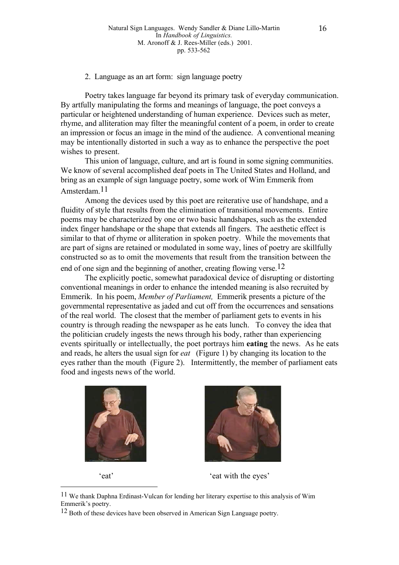## 2. Language as an art form: sign language poetry

Poetry takes language far beyond its primary task of everyday communication. By artfully manipulating the forms and meanings of language, the poet conveys a particular or heightened understanding of human experience. Devices such as meter, rhyme, and alliteration may filter the meaningful content of a poem, in order to create an impression or focus an image in the mind of the audience. A conventional meaning may be intentionally distorted in such a way as to enhance the perspective the poet wishes to present.

This union of language, culture, and art is found in some signing communities. We know of several accomplished deaf poets in The United States and Holland, and bring as an example of sign language poetry, some work of Wim Emmerik from Amsterdam.11

Among the devices used by this poet are reiterative use of handshape, and a fluidity of style that results from the elimination of transitional movements. Entire poems may be characterized by one or two basic handshapes, such as the extended index finger handshape or the shape that extends all fingers. The aesthetic effect is similar to that of rhyme or alliteration in spoken poetry. While the movements that are part of signs are retained or modulated in some way, lines of poetry are skillfully constructed so as to omit the movements that result from the transition between the end of one sign and the beginning of another, creating flowing verse.<sup>12</sup>

The explicitly poetic, somewhat paradoxical device of disrupting or distorting conventional meanings in order to enhance the intended meaning is also recruited by Emmerik. In his poem, *Member of Parliament,* Emmerik presents a picture of the governmental representative as jaded and cut off from the occurrences and sensations of the real world. The closest that the member of parliament gets to events in his country is through reading the newspaper as he eats lunch. To convey the idea that the politician crudely ingests the news through his body, rather than experiencing events spiritually or intellectually, the poet portrays him **eating** the news. As he eats and reads, he alters the usual sign for *eat* (Figure 1) by changing its location to the eyes rather than the mouth (Figure 2). Intermittently, the member of parliament eats food and ingests news of the world.





'eat''eat with the eyes'

<sup>11</sup> We thank Daphna Erdinast-Vulcan for lending her literary expertise to this analysis of Wim Emmerik's poetry.

<sup>&</sup>lt;sup>12</sup> Both of these devices have been observed in American Sign Language poetry.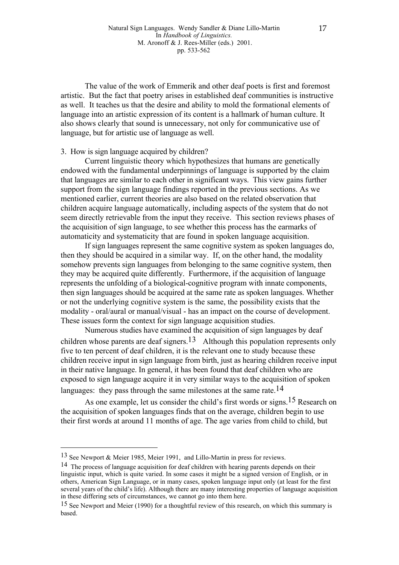The value of the work of Emmerik and other deaf poets is first and foremost artistic. But the fact that poetry arises in established deaf communities is instructive as well. It teaches us that the desire and ability to mold the formational elements of language into an artistic expression of its content is a hallmark of human culture. It also shows clearly that sound is unnecessary, not only for communicative use of language, but for artistic use of language as well.

#### 3. How is sign language acquired by children?

Current linguistic theory which hypothesizes that humans are genetically endowed with the fundamental underpinnings of language is supported by the claim that languages are similar to each other in significant ways. This view gains further support from the sign language findings reported in the previous sections. As we mentioned earlier, current theories are also based on the related observation that children acquire language automatically, including aspects of the system that do not seem directly retrievable from the input they receive. This section reviews phases of the acquisition of sign language, to see whether this process has the earmarks of automaticity and systematicity that are found in spoken language acquisition.

If sign languages represent the same cognitive system as spoken languages do, then they should be acquired in a similar way. If, on the other hand, the modality somehow prevents sign languages from belonging to the same cognitive system, then they may be acquired quite differently. Furthermore, if the acquisition of language represents the unfolding of a biological-cognitive program with innate components, then sign languages should be acquired at the same rate as spoken languages. Whether or not the underlying cognitive system is the same, the possibility exists that the modality - oral/aural or manual/visual - has an impact on the course of development. These issues form the context for sign language acquisition studies.

Numerous studies have examined the acquisition of sign languages by deaf children whose parents are deaf signers.<sup>13</sup> Although this population represents only five to ten percent of deaf children, it is the relevant one to study because these children receive input in sign language from birth, just as hearing children receive input in their native language. In general, it has been found that deaf children who are exposed to sign language acquire it in very similar ways to the acquisition of spoken languages: they pass through the same milestones at the same rate.<sup>14</sup>

As one example, let us consider the child's first words or signs.<sup>15</sup> Research on the acquisition of spoken languages finds that on the average, children begin to use their first words at around 11 months of age. The age varies from child to child, but

<sup>13</sup> See Newport & Meier 1985, Meier 1991, and Lillo-Martin in press for reviews.

<sup>&</sup>lt;sup>14</sup> The process of language acquisition for deaf children with hearing parents depends on their linguistic input, which is quite varied. In some cases it might be a signed version of English, or in others, American Sign Language, or in many cases, spoken language input only (at least for the first several years of the child's life). Although there are many interesting properties of language acquisition in these differing sets of circumstances, we cannot go into them here.

<sup>15</sup> See Newport and Meier (1990) for a thoughtful review of this research, on which this summary is based.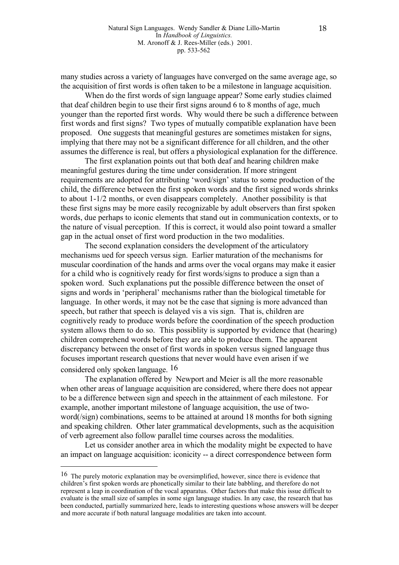many studies across a variety of languages have converged on the same average age, so the acquisition of first words is often taken to be a milestone in language acquisition.

When do the first words of sign language appear? Some early studies claimed that deaf children begin to use their first signs around 6 to 8 months of age, much younger than the reported first words. Why would there be such a difference between first words and first signs? Two types of mutually compatible explanation have been proposed. One suggests that meaningful gestures are sometimes mistaken for signs, implying that there may not be a significant difference for all children, and the other assumes the difference is real, but offers a physiological explanation for the difference.

The first explanation points out that both deaf and hearing children make meaningful gestures during the time under consideration. If more stringent requirements are adopted for attributing 'word/sign' status to some production of the child, the difference between the first spoken words and the first signed words shrinks to about 1-1/2 months, or even disappears completely. Another possibility is that these first signs may be more easily recognizable by adult observers than first spoken words, due perhaps to iconic elements that stand out in communication contexts, or to the nature of visual perception. If this is correct, it would also point toward a smaller gap in the actual onset of first word production in the two modalities.

The second explanation considers the development of the articulatory mechanisms ued for speech versus sign. Earlier maturation of the mechanisms for muscular coordination of the hands and arms over the vocal organs may make it easier for a child who is cognitively ready for first words/signs to produce a sign than a spoken word. Such explanations put the possible difference between the onset of signs and words in 'peripheral' mechanisms rather than the biological timetable for language. In other words, it may not be the case that signing is more advanced than speech, but rather that speech is delayed vis a vis sign. That is, children are cognitively ready to produce words before the coordination of the speech production system allows them to do so. This possiblity is supported by evidence that (hearing) children comprehend words before they are able to produce them. The apparent discrepancy between the onset of first words in spoken versus signed language thus focuses important research questions that never would have even arisen if we considered only spoken language. 16

The explanation offered by Newport and Meier is all the more reasonable when other areas of language acquisition are considered, where there does not appear to be a difference between sign and speech in the attainment of each milestone. For example, another important milestone of language acquisition, the use of twoword(/sign) combinations, seems to be attained at around 18 months for both signing and speaking children. Other later grammatical developments, such as the acquisition of verb agreement also follow parallel time courses across the modalities.

Let us consider another area in which the modality might be expected to have an impact on language acquisition: iconicity -- a direct correspondence between form

<sup>16</sup> The purely motoric explanation may be oversimplified, however, since there is evidence that children's first spoken words are phonetically similar to their late babbling, and therefore do not represent a leap in coordination of the vocal apparatus. Other factors that make this issue difficult to evaluate is the small size of samples in some sign language studies. In any case, the research that has been conducted, partially summarized here, leads to interesting questions whose answers will be deeper and more accurate if both natural language modalities are taken into account.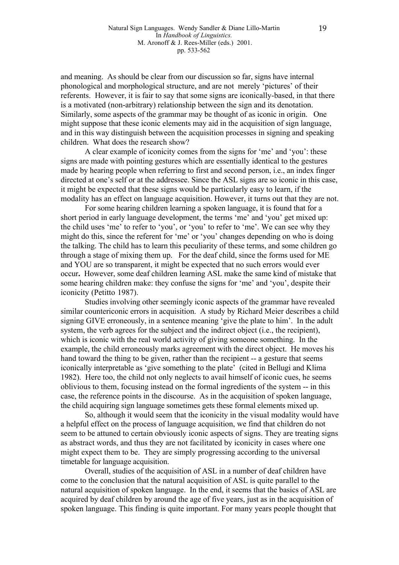and meaning. As should be clear from our discussion so far, signs have internal phonological and morphological structure, and are not merely 'pictures' of their referents. However, it is fair to say that some signs are iconically-based, in that there is a motivated (non-arbitrary) relationship between the sign and its denotation. Similarly, some aspects of the grammar may be thought of as iconic in origin. One might suppose that these iconic elements may aid in the acquisition of sign language, and in this way distinguish between the acquisition processes in signing and speaking children. What does the research show?

A clear example of iconicity comes from the signs for 'me' and 'you': these signs are made with pointing gestures which are essentially identical to the gestures made by hearing people when referring to first and second person, i.e., an index finger directed at one's self or at the addressee. Since the ASL signs are so iconic in this case, it might be expected that these signs would be particularly easy to learn, if the modality has an effect on language acquisition. However, it turns out that they are not.

For some hearing children learning a spoken language, it is found that for a short period in early language development, the terms 'me' and 'you' get mixed up: the child uses 'me' to refer to 'you', or 'you' to refer to 'me'. We can see why they might do this, since the referent for 'me' or 'you' changes depending on who is doing the talking. The child has to learn this peculiarity of these terms, and some children go through a stage of mixing them up. For the deaf child, since the forms used for ME and YOU are so transparent, it might be expected that no such errors would ever occur**.** However, some deaf children learning ASL make the same kind of mistake that some hearing children make: they confuse the signs for 'me' and 'you', despite their iconicity (Petitto 1987).

Studies involving other seemingly iconic aspects of the grammar have revealed similar countericonic errors in acquisition. A study by Richard Meier describes a child signing GIVE erroneously, in a sentence meaning 'give the plate to him'. In the adult system, the verb agrees for the subject and the indirect object (i.e., the recipient), which is iconic with the real world activity of giving someone something. In the example, the child erroneously marks agreement with the direct object. He moves his hand toward the thing to be given, rather than the recipient -- a gesture that seems iconically interpretable as 'give something to the plate' (cited in Bellugi and Klima 1982). Here too, the child not only neglects to avail himself of iconic cues, he seems oblivious to them, focusing instead on the formal ingredients of the system -- in this case, the reference points in the discourse. As in the acquisition of spoken language, the child acquiring sign language sometimes gets these formal elements mixed up.

So, although it would seem that the iconicity in the visual modality would have a helpful effect on the process of language acquisition, we find that children do not seem to be attuned to certain obviously iconic aspects of signs. They are treating signs as abstract words, and thus they are not facilitated by iconicity in cases where one might expect them to be. They are simply progressing according to the universal timetable for language acquisition.

Overall, studies of the acquisition of ASL in a number of deaf children have come to the conclusion that the natural acquisition of ASL is quite parallel to the natural acquisition of spoken language. In the end, it seems that the basics of ASL are acquired by deaf children by around the age of five years, just as in the acquisition of spoken language. This finding is quite important. For many years people thought that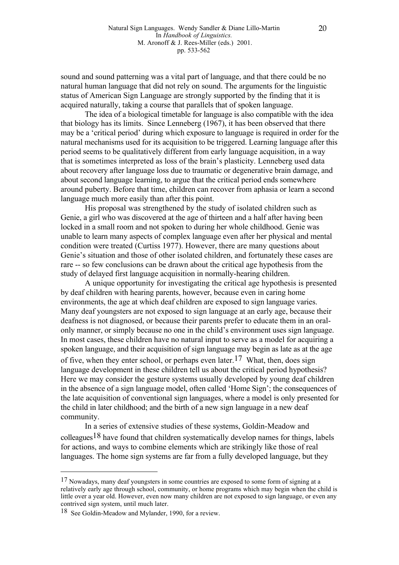sound and sound patterning was a vital part of language, and that there could be no natural human language that did not rely on sound. The arguments for the linguistic status of American Sign Language are strongly supported by the finding that it is acquired naturally, taking a course that parallels that of spoken language.

The idea of a biological timetable for language is also compatible with the idea that biology has its limits. Since Lenneberg (1967), it has been observed that there may be a 'critical period' during which exposure to language is required in order for the natural mechanisms used for its acquisition to be triggered. Learning language after this period seems to be qualitatively different from early language acquisition, in a way that is sometimes interpreted as loss of the brain's plasticity. Lenneberg used data about recovery after language loss due to traumatic or degenerative brain damage, and about second language learning, to argue that the critical period ends somewhere around puberty. Before that time, children can recover from aphasia or learn a second language much more easily than after this point.

His proposal was strengthened by the study of isolated children such as Genie, a girl who was discovered at the age of thirteen and a half after having been locked in a small room and not spoken to during her whole childhood. Genie was unable to learn many aspects of complex language even after her physical and mental condition were treated (Curtiss 1977). However, there are many questions about Genie's situation and those of other isolated children, and fortunately these cases are rare -- so few conclusions can be drawn about the critical age hypothesis from the study of delayed first language acquisition in normally-hearing children.

A unique opportunity for investigating the critical age hypothesis is presented by deaf children with hearing parents, however, because even in caring home environments, the age at which deaf children are exposed to sign language varies. Many deaf youngsters are not exposed to sign language at an early age, because their deafness is not diagnosed, or because their parents prefer to educate them in an oralonly manner, or simply because no one in the child's environment uses sign language. In most cases, these children have no natural input to serve as a model for acquiring a spoken language, and their acquisition of sign language may begin as late as at the age of five, when they enter school, or perhaps even later.<sup>17</sup> What, then, does sign language development in these children tell us about the critical period hypothesis? Here we may consider the gesture systems usually developed by young deaf children in the absence of a sign language model, often called 'Home Sign'; the consequences of the late acquisition of conventional sign languages, where a model is only presented for the child in later childhood; and the birth of a new sign language in a new deaf community.

In a series of extensive studies of these systems, Goldin-Meadow and colleagues<sup>18</sup> have found that children systematically develop names for things, labels for actions, and ways to combine elements which are strikingly like those of real languages. The home sign systems are far from a fully developed language, but they

<sup>&</sup>lt;sup>17</sup> Nowadays, many deaf youngsters in some countries are exposed to some form of signing at a relatively early age through school, community, or home programs which may begin when the child is little over a year old. However, even now many children are not exposed to sign language, or even any contrived sign system, until much later.

<sup>18</sup> See Goldin-Meadow and Mylander, 1990, for a review.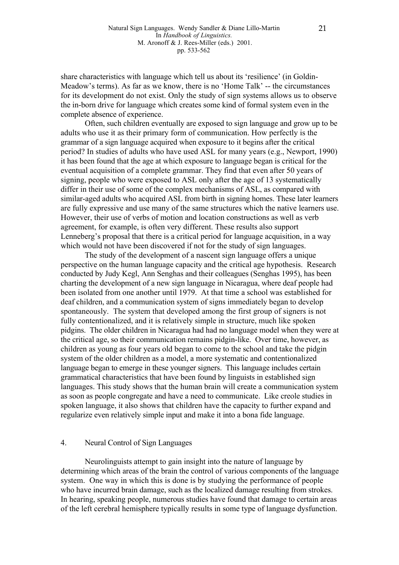share characteristics with language which tell us about its 'resilience' (in Goldin-Meadow's terms). As far as we know, there is no 'Home Talk' -- the circumstances for its development do not exist. Only the study of sign systems allows us to observe the in-born drive for language which creates some kind of formal system even in the complete absence of experience.

Often, such children eventually are exposed to sign language and grow up to be adults who use it as their primary form of communication. How perfectly is the grammar of a sign language acquired when exposure to it begins after the critical period? In studies of adults who have used ASL for many years (e.g., Newport, 1990) it has been found that the age at which exposure to language began is critical for the eventual acquisition of a complete grammar. They find that even after 50 years of signing, people who were exposed to ASL only after the age of 13 systematically differ in their use of some of the complex mechanisms of ASL, as compared with similar-aged adults who acquired ASL from birth in signing homes. These later learners are fully expressive and use many of the same structures which the native learners use. However, their use of verbs of motion and location constructions as well as verb agreement, for example, is often very different. These results also support Lenneberg's proposal that there is a critical period for language acquisition, in a way which would not have been discovered if not for the study of sign languages.

The study of the development of a nascent sign language offers a unique perspective on the human language capacity and the critical age hypothesis. Research conducted by Judy Kegl, Ann Senghas and their colleagues (Senghas 1995), has been charting the development of a new sign language in Nicaragua, where deaf people had been isolated from one another until 1979. At that time a school was established for deaf children, and a communication system of signs immediately began to develop spontaneously. The system that developed among the first group of signers is not fully contentionalized, and it is relatively simple in structure, much like spoken pidgins. The older children in Nicaragua had had no language model when they were at the critical age, so their communication remains pidgin-like. Over time, however, as children as young as four years old began to come to the school and take the pidgin system of the older children as a model, a more systematic and contentionalized language began to emerge in these younger signers. This language includes certain grammatical characteristics that have been found by linguists in established sign languages. This study shows that the human brain will create a communication system as soon as people congregate and have a need to communicate. Like creole studies in spoken language, it also shows that children have the capacity to further expand and regularize even relatively simple input and make it into a bona fide language.

#### 4. Neural Control of Sign Languages

Neurolinguists attempt to gain insight into the nature of language by determining which areas of the brain the control of various components of the language system. One way in which this is done is by studying the performance of people who have incurred brain damage, such as the localized damage resulting from strokes. In hearing, speaking people, numerous studies have found that damage to certain areas of the left cerebral hemisphere typically results in some type of language dysfunction.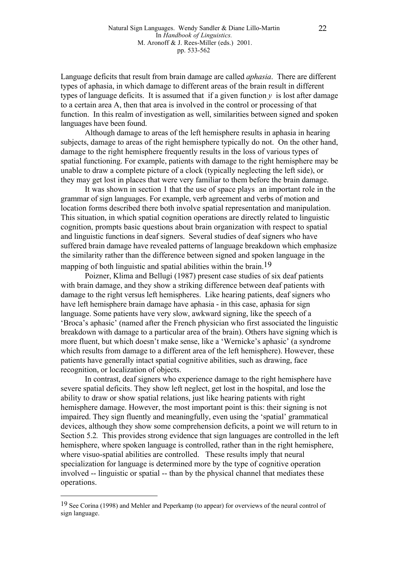Language deficits that result from brain damage are called *aphasia*. There are different types of aphasia, in which damage to different areas of the brain result in different types of language deficits. It is assumed that if a given function  $v$  is lost after damage to a certain area A, then that area is involved in the control or processing of that function. In this realm of investigation as well, similarities between signed and spoken languages have been found.

Although damage to areas of the left hemisphere results in aphasia in hearing subjects, damage to areas of the right hemisphere typically do not. On the other hand, damage to the right hemisphere frequently results in the loss of various types of spatial functioning. For example, patients with damage to the right hemisphere may be unable to draw a complete picture of a clock (typically neglecting the left side), or they may get lost in places that were very familiar to them before the brain damage.

It was shown in section 1 that the use of space plays an important role in the grammar of sign languages. For example, verb agreement and verbs of motion and location forms described there both involve spatial representation and manipulation. This situation, in which spatial cognition operations are directly related to linguistic cognition, prompts basic questions about brain organization with respect to spatial and linguistic functions in deaf signers. Several studies of deaf signers who have suffered brain damage have revealed patterns of language breakdown which emphasize the similarity rather than the difference between signed and spoken language in the mapping of both linguistic and spatial abilities within the brain.<sup>19</sup>

Poizner, Klima and Bellugi (1987) present case studies of six deaf patients with brain damage, and they show a striking difference between deaf patients with damage to the right versus left hemispheres. Like hearing patients, deaf signers who have left hemisphere brain damage have aphasia - in this case, aphasia for sign language. Some patients have very slow, awkward signing, like the speech of a 'Broca's aphasic' (named after the French physician who first associated the linguistic breakdown with damage to a particular area of the brain). Others have signing which is more fluent, but which doesn't make sense, like a 'Wernicke's aphasic' (a syndrome which results from damage to a different area of the left hemisphere). However, these patients have generally intact spatial cognitive abilities, such as drawing, face recognition, or localization of objects.

In contrast, deaf signers who experience damage to the right hemisphere have severe spatial deficits. They show left neglect, get lost in the hospital, and lose the ability to draw or show spatial relations, just like hearing patients with right hemisphere damage. However, the most important point is this: their signing is not impaired. They sign fluently and meaningfully, even using the 'spatial' grammatical devices, although they show some comprehension deficits, a point we will return to in Section 5.2*.* This provides strong evidence that sign languages are controlled in the left hemisphere, where spoken language is controlled, rather than in the right hemisphere, where visuo-spatial abilities are controlled. These results imply that neural specialization for language is determined more by the type of cognitive operation involved -- linguistic or spatial -- than by the physical channel that mediates these operations.

<sup>&</sup>lt;sup>19</sup> See Corina (1998) and Mehler and Peperkamp (to appear) for overviews of the neural control of sign language.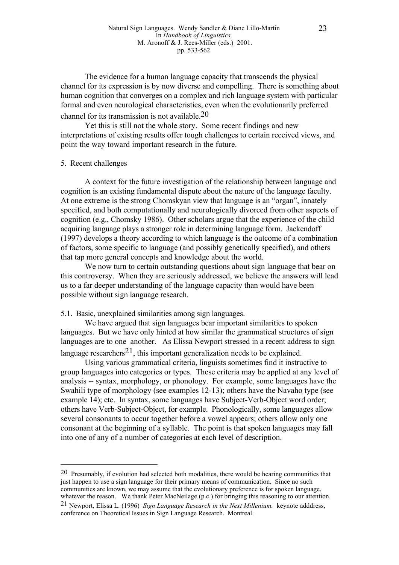The evidence for a human language capacity that transcends the physical channel for its expression is by now diverse and compelling. There is something about human cognition that converges on a complex and rich language system with particular formal and even neurological characteristics, even when the evolutionarily preferred channel for its transmission is not available.20

Yet this is still not the whole story. Some recent findings and new interpretations of existing results offer tough challenges to certain received views, and point the way toward important research in the future.

## 5. Recent challenges

 $\overline{a}$ 

A context for the future investigation of the relationship between language and cognition is an existing fundamental dispute about the nature of the language faculty. At one extreme is the strong Chomskyan view that language is an "organ", innately specified, and both computationally and neurologically divorced from other aspects of cognition (e.g., Chomsky 1986). Other scholars argue that the experience of the child acquiring language plays a stronger role in determining language form. Jackendoff (1997) develops a theory according to which language is the outcome of a combination of factors, some specific to language (and possibly genetically specified), and others that tap more general concepts and knowledge about the world.

We now turn to certain outstanding questions about sign language that bear on this controversy. When they are seriously addressed, we believe the answers will lead us to a far deeper understanding of the language capacity than would have been possible without sign language research.

5.1. Basic, unexplained similarities among sign languages.

We have argued that sign languages bear important similarities to spoken languages. But we have only hinted at how similar the grammatical structures of sign languages are to one another. As Elissa Newport stressed in a recent address to sign language researchers<sup>21</sup>, this important generalization needs to be explained.

Using various grammatical criteria, linguists sometimes find it instructive to group languages into categories or types. These criteria may be applied at any level of analysis -- syntax, morphology, or phonology. For example, some languages have the Swahili type of morphology (see examples 12-13); others have the Navaho type (see example 14); etc. In syntax, some languages have Subject-Verb-Object word order; others have Verb-Subject-Object, for example. Phonologically, some languages allow several consonants to occur together before a vowel appears; others allow only one consonant at the beginning of a syllable. The point is that spoken languages may fall into one of any of a number of categories at each level of description.

<sup>20</sup> Presumably, if evolution had selected both modalities, there would be hearing communities that just happen to use a sign language for their primary means of communication. Since no such communities are known, we may assume that the evolutionary preference is for spoken language, whatever the reason. We thank Peter MacNeilage (p.c.) for bringing this reasoning to our attention.

<sup>21</sup> Newport, Elissa L. (1996) *Sign Language Research in the Next Millenium.* keynote adddress, conference on Theoretical Issues in Sign Language Research. Montreal.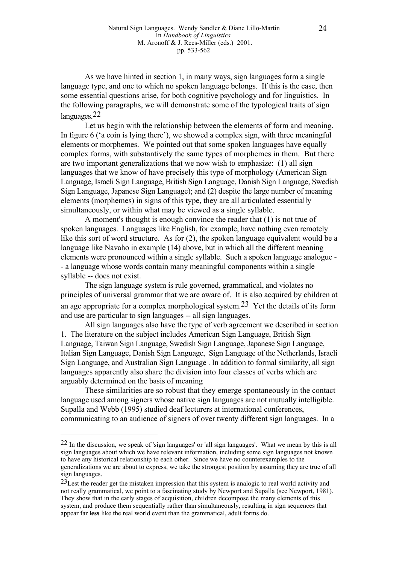As we have hinted in section 1, in many ways, sign languages form a single language type, and one to which no spoken language belongs. If this is the case, then some essential questions arise, for both cognitive psychology and for linguistics. In the following paragraphs, we will demonstrate some of the typological traits of sign languages.22

Let us begin with the relationship between the elements of form and meaning. In figure 6 ('a coin is lying there'), we showed a complex sign, with three meaningful elements or morphemes. We pointed out that some spoken languages have equally complex forms, with substantively the same types of morphemes in them. But there are two important generalizations that we now wish to emphasize: (1) all sign languages that we know of have precisely this type of morphology (American Sign Language, Israeli Sign Language, British Sign Language, Danish Sign Language, Swedish Sign Language, Japanese Sign Language); and (2) despite the large number of meaning elements (morphemes) in signs of this type, they are all articulated essentially simultaneously, or within what may be viewed as a single syllable.

A moment's thought is enough convince the reader that (1) is not true of spoken languages. Languages like English, for example, have nothing even remotely like this sort of word structure. As for (2), the spoken language equivalent would be a language like Navaho in example (14) above, but in which all the different meaning elements were pronounced within a single syllable. Such a spoken language analogue - - a language whose words contain many meaningful components within a single syllable -- does not exist.

The sign language system is rule governed, grammatical, and violates no principles of universal grammar that we are aware of. It is also acquired by children at an age appropriate for a complex morphological system.23 Yet the details of its form and use are particular to sign languages -- all sign languages.

All sign languages also have the type of verb agreement we described in section 1. The literature on the subject includes American Sign Language, British Sign Language, Taiwan Sign Language, Swedish Sign Language, Japanese Sign Language, Italian Sign Language, Danish Sign Language, Sign Language of the Netherlands, Israeli Sign Language, and Australian Sign Language . In addition to formal similarity, all sign languages apparently also share the division into four classes of verbs which are arguably determined on the basis of meaning

These similarities are so robust that they emerge spontaneously in the contact language used among signers whose native sign languages are not mutually intelligible. Supalla and Webb (1995) studied deaf lecturers at international conferences, communicating to an audience of signers of over twenty different sign languages. In a

<sup>22</sup> In the discussion, we speak of 'sign languages' or 'all sign languages'. What we mean by this is all sign languages about which we have relevant information, including some sign languages not known to have any historical relationship to each other. Since we have no counterexamples to the generalizations we are about to express, we take the strongest position by assuming they are true of all sign languages.

<sup>&</sup>lt;sup>23</sup>Lest the reader get the mistaken impression that this system is analogic to real world activity and not really grammatical, we point to a fascinating study by Newport and Supalla (see Newport, 1981). They show that in the early stages of acquisition, children decompose the many elements of this system, and produce them sequentially rather than simultaneously, resulting in sign sequences that appear far **less** like the real world event than the grammatical, adult forms do.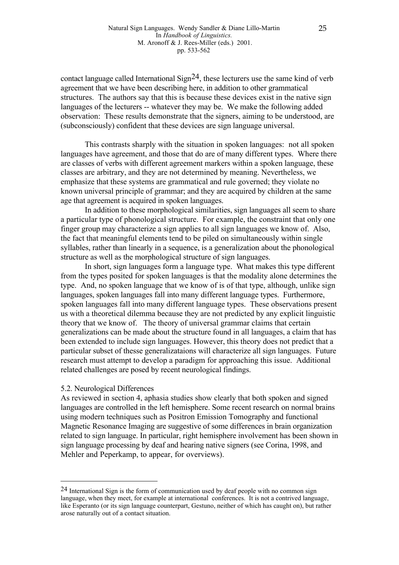contact language called International  $Sign^{24}$ , these lecturers use the same kind of verb agreement that we have been describing here, in addition to other grammatical structures. The authors say that this is because these devices exist in the native sign languages of the lecturers -- whatever they may be. We make the following added observation: These results demonstrate that the signers, aiming to be understood, are (subconsciously) confident that these devices are sign language universal.

 This contrasts sharply with the situation in spoken languages: not all spoken languages have agreement, and those that do are of many different types. Where there are classes of verbs with different agreement markers within a spoken language, these classes are arbitrary, and they are not determined by meaning. Nevertheless, we emphasize that these systems are grammatical and rule governed; they violate no known universal principle of grammar; and they are acquired by children at the same age that agreement is acquired in spoken languages.

In addition to these morphological similarities, sign languages all seem to share a particular type of phonological structure. For example, the constraint that only one finger group may characterize a sign applies to all sign languages we know of. Also, the fact that meaningful elements tend to be piled on simultaneously within single syllables, rather than linearly in a sequence, is a generalization about the phonological structure as well as the morphological structure of sign languages.

In short, sign languages form a language type. What makes this type different from the types posited for spoken languages is that the modality alone determines the type. And, no spoken language that we know of is of that type, although, unlike sign languages, spoken languages fall into many different language types. Furthermore, spoken languages fall into many different language types. These observations present us with a theoretical dilemma because they are not predicted by any explicit linguistic theory that we know of. The theory of universal grammar claims that certain generalizations can be made about the structure found in all languages, a claim that has been extended to include sign languages. However, this theory does not predict that a particular subset of thesse generalizataions will characterize all sign languages. Future research must attempt to develop a paradigm for approaching this issue. Additional related challenges are posed by recent neurological findings.

#### 5.2. Neurological Differences

 $\overline{a}$ 

As reviewed in section 4, aphasia studies show clearly that both spoken and signed languages are controlled in the left hemisphere. Some recent research on normal brains using modern techniques such as Positron Emission Tomography and functional Magnetic Resonance Imaging are suggestive of some differences in brain organization related to sign language. In particular, right hemisphere involvement has been shown in sign language processing by deaf and hearing native signers (see Corina, 1998, and Mehler and Peperkamp, to appear, for overviews).

<sup>24</sup> International Sign is the form of communication used by deaf people with no common sign language, when they meet, for example at international conferences. It is not a contrived language, like Esperanto (or its sign language counterpart, Gestuno, neither of which has caught on), but rather arose naturally out of a contact situation.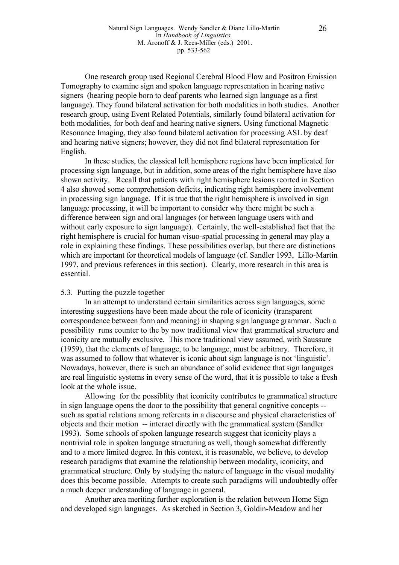One research group used Regional Cerebral Blood Flow and Positron Emission Tomography to examine sign and spoken language representation in hearing native signers (hearing people born to deaf parents who learned sign language as a first language). They found bilateral activation for both modalities in both studies. Another research group, using Event Related Potentials, similarly found bilateral activation for both modalities, for both deaf and hearing native signers. Using functional Magnetic Resonance Imaging, they also found bilateral activation for processing ASL by deaf and hearing native signers; however, they did not find bilateral representation for English.

In these studies, the classical left hemisphere regions have been implicated for processing sign language, but in addition, some areas of the right hemisphere have also shown activity. Recall that patients with right hemisphere lesions reorted in Section 4 also showed some comprehension deficits, indicating right hemisphere involvement in processing sign language. If it is true that the right hemisphere is involved in sign language processing, it will be important to consider why there might be such a difference between sign and oral languages (or between language users with and without early exposure to sign language). Certainly, the well-established fact that the right hemisphere is crucial for human visuo-spatial processing in general may play a role in explaining these findings. These possibilities overlap, but there are distinctions which are important for theoretical models of language (cf. Sandler 1993, Lillo-Martin 1997, and previous references in this section). Clearly, more research in this area is essential.

## 5.3. Putting the puzzle together

In an attempt to understand certain similarities across sign languages, some interesting suggestions have been made about the role of iconicity (transparent correspondence between form and meaning) in shaping sign language grammar. Such a possibility runs counter to the by now traditional view that grammatical structure and iconicity are mutually exclusive. This more traditional view assumed, with Saussure (1959), that the elements of language, to be language, must be arbitrary. Therefore, it was assumed to follow that whatever is iconic about sign language is not 'linguistic'. Nowadays, however, there is such an abundance of solid evidence that sign languages are real linguistic systems in every sense of the word, that it is possible to take a fresh look at the whole issue.

Allowing for the possiblity that iconicity contributes to grammatical structure in sign language opens the door to the possibility that general cognitive concepts - such as spatial relations among referents in a discourse and physical characteristics of objects and their motion -- interact directly with the grammatical system (Sandler 1993). Some schools of spoken language research suggest that iconicity plays a nontrivial role in spoken language structuring as well, though somewhat differently and to a more limited degree. In this context, it is reasonable, we believe, to develop research paradigms that examine the relationship between modality, iconicity, and grammatical structure. Only by studying the nature of language in the visual modality does this become possible. Attempts to create such paradigms will undoubtedly offer a much deeper understanding of language in general.

Another area meriting further exploration is the relation between Home Sign and developed sign languages. As sketched in Section 3, Goldin-Meadow and her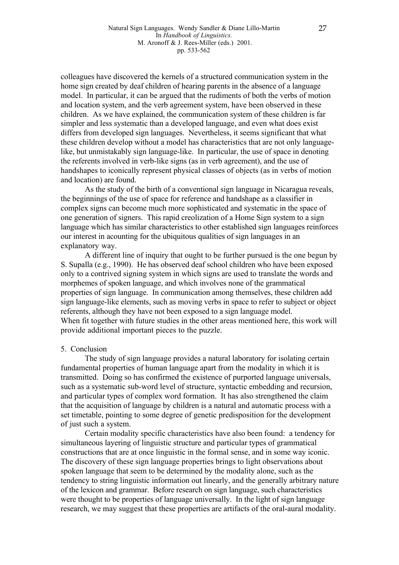colleagues have discovered the kernels of a structured communication system in the home sign created by deaf children of hearing parents in the absence of a language model. In particular, it can be argued that the rudiments of both the verbs of motion and location system, and the verb agreement system, have been observed in these children. As we have explained, the communication system of these children is far simpler and less systematic than a developed language, and even what does exist differs from developed sign languages. Nevertheless, it seems significant that what these children develop without a model has characteristics that are not only languagelike, but unmistakably sign language-like. In particular, the use of space in denoting the referents involved in verb-like signs (as in verb agreement), and the use of handshapes to iconically represent physical classes of objects (as in verbs of motion and location) are found.

As the study of the birth of a conventional sign language in Nicaragua reveals, the beginnings of the use of space for reference and handshape as a classifier in complex signs can become much more sophisticated and systematic in the space of one generation of signers. This rapid creolization of a Home Sign system to a sign language which has similar characteristics to other established sign languages reinforces our interest in acounting for the ubiquitous qualities of sign languages in an explanatory way.

A different line of inquiry that ought to be further pursued is the one begun by S. Supalla (e.g., 1990). He has observed deaf school children who have been exposed only to a contrived signing system in which signs are used to translate the words and morphemes of spoken language, and which involves none of the grammatical properties of sign language. In communication among themselves, these children add sign language-like elements, such as moving verbs in space to refer to subject or object referents, although they have not been exposed to a sign language model. When fit together with future studies in the other areas mentioned here, this work will provide additional important pieces to the puzzle.

#### 5. Conclusion

The study of sign language provides a natural laboratory for isolating certain fundamental properties of human language apart from the modality in which it is transmitted. Doing so has confirmed the existence of purported language universals, such as a systematic sub-word level of structure, syntactic embedding and recursion, and particular types of complex word formation. It has also strengthened the claim that the acquisition of language by children is a natural and automatic process with a set timetable, pointing to some degree of genetic predisposition for the development of just such a system.

Certain modality specific characteristics have also been found: a tendency for simultaneous layering of linguistic structure and particular types of grammatical constructions that are at once linguistic in the formal sense, and in some way iconic. The discovery of these sign language properties brings to light observations about spoken language that seem to be determined by the modality alone, such as the tendency to string linguistic information out linearly, and the generally arbitrary nature of the lexicon and grammar. Before research on sign language, such characteristics were thought to be properties of language universally. In the light of sign language research, we may suggest that these properties are artifacts of the oral-aural modality.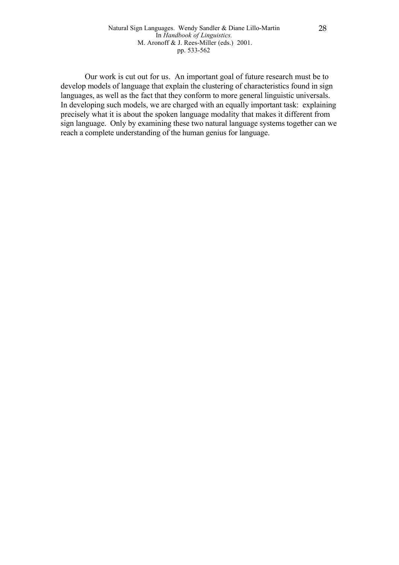#### Natural Sign Languages. Wendy Sandler & Diane Lillo-Martin In *Handbook of Linguistics.* M. Aronoff & J. Rees-Miller (eds.) 2001. pp. 533-562

Our work is cut out for us. An important goal of future research must be to develop models of language that explain the clustering of characteristics found in sign languages, as well as the fact that they conform to more general linguistic universals. In developing such models, we are charged with an equally important task: explaining precisely what it is about the spoken language modality that makes it different from sign language. Only by examining these two natural language systems together can we reach a complete understanding of the human genius for language.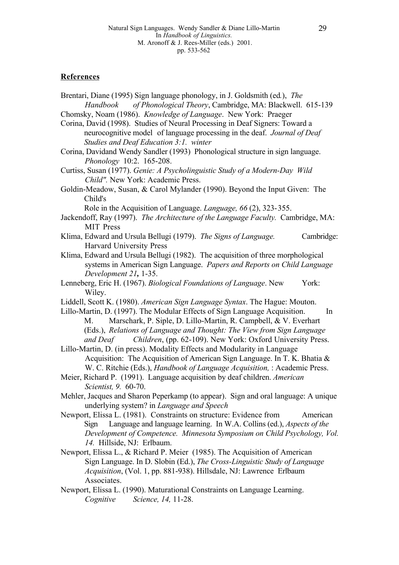# **References**

| Brentari, Diane (1995) Sign language phonology, in J. Goldsmith (ed.), The<br>Handbook of Phonological Theory, Cambridge, MA: Blackwell. 615-139               |            |
|----------------------------------------------------------------------------------------------------------------------------------------------------------------|------------|
| Chomsky, Noam (1986). Knowledge of Language. New York: Praeger<br>Corina, David (1998). Studies of Neural Processing in Deaf Signers: Toward a                 |            |
| neurocognitive model of language processing in the deaf. Journal of Deaf<br>Studies and Deaf Education 3:1. winter                                             |            |
| Corina, Davidand Wendy Sandler (1993) Phonological structure in sign language.<br>Phonology 10:2. 165-208.                                                     |            |
| Curtiss, Susan (1977). Genie: A Psycholinguistic Study of a Modern-Day Wild<br>Child". New York: Academic Press.                                               |            |
| Goldin-Meadow, Susan, & Carol Mylander (1990). Beyond the Input Given: The<br>Child's                                                                          |            |
| Role in the Acquisition of Language. Language, 66 (2), 323-355.                                                                                                |            |
| Jackendoff, Ray (1997). The Architecture of the Language Faculty. Cambridge, MA:<br><b>MIT</b> Press                                                           |            |
| Klima, Edward and Ursula Bellugi (1979). The Signs of Language.<br><b>Harvard University Press</b>                                                             | Cambridge: |
| Klima, Edward and Ursula Bellugi (1982). The acquisition of three morphological                                                                                |            |
| systems in American Sign Language. Papers and Reports on Child Language<br>Development 21, 1-35.                                                               |            |
| Lenneberg, Eric H. (1967). Biological Foundations of Language. New<br>Wiley.                                                                                   | York:      |
| Liddell, Scott K. (1980). American Sign Language Syntax. The Hague: Mouton.                                                                                    |            |
| Lillo-Martin, D. (1997). The Modular Effects of Sign Language Acquisition.<br>In                                                                               |            |
| Marschark, P. Siple, D. Lillo-Martin, R. Campbell, & V. Everhart<br>M.                                                                                         |            |
| (Eds.), Relations of Language and Thought: The View from Sign Language                                                                                         |            |
| Children, (pp. 62-109). New York: Oxford University Press.<br>and Deaf                                                                                         |            |
| Lillo-Martin, D. (in press). Modality Effects and Modularity in Language                                                                                       |            |
| Acquisition: The Acquisition of American Sign Language. In T. K. Bhatia &<br>W. C. Ritchie (Eds.), <i>Handbook of Language Acquisition</i> , : Academic Press. |            |
| Meier, Richard P. (1991). Language acquisition by deaf children. American                                                                                      |            |
| Scientist, 9. 60-70.                                                                                                                                           |            |
| Mehler, Jacques and Sharon Peperkamp (to appear). Sign and oral language: A unique                                                                             |            |
| underlying system? in <i>Language and Speech</i>                                                                                                               |            |
| Newport, Elissa L. (1981). Constraints on structure: Evidence from                                                                                             | American   |
| Language and language learning. In W.A. Collins (ed.), Aspects of the<br>Sign                                                                                  |            |
| Development of Competence. Minnesota Symposium on Child Psychology, Vol.                                                                                       |            |
| 14. Hillside, NJ: Erlbaum.                                                                                                                                     |            |
| Newport, Elissa L., & Richard P. Meier (1985). The Acquisition of American                                                                                     |            |
| Sign Language. In D. Slobin (Ed.), The Cross-Linguistic Study of Language<br>Acquisition, (Vol. 1, pp. 881-938). Hillsdale, NJ: Lawrence Erlbaum               |            |
| Associates.                                                                                                                                                    |            |
| Newport, Elissa L. (1990). Maturational Constraints on Language Learning.<br>Science, 14, 11-28.<br>Cognitive                                                  |            |